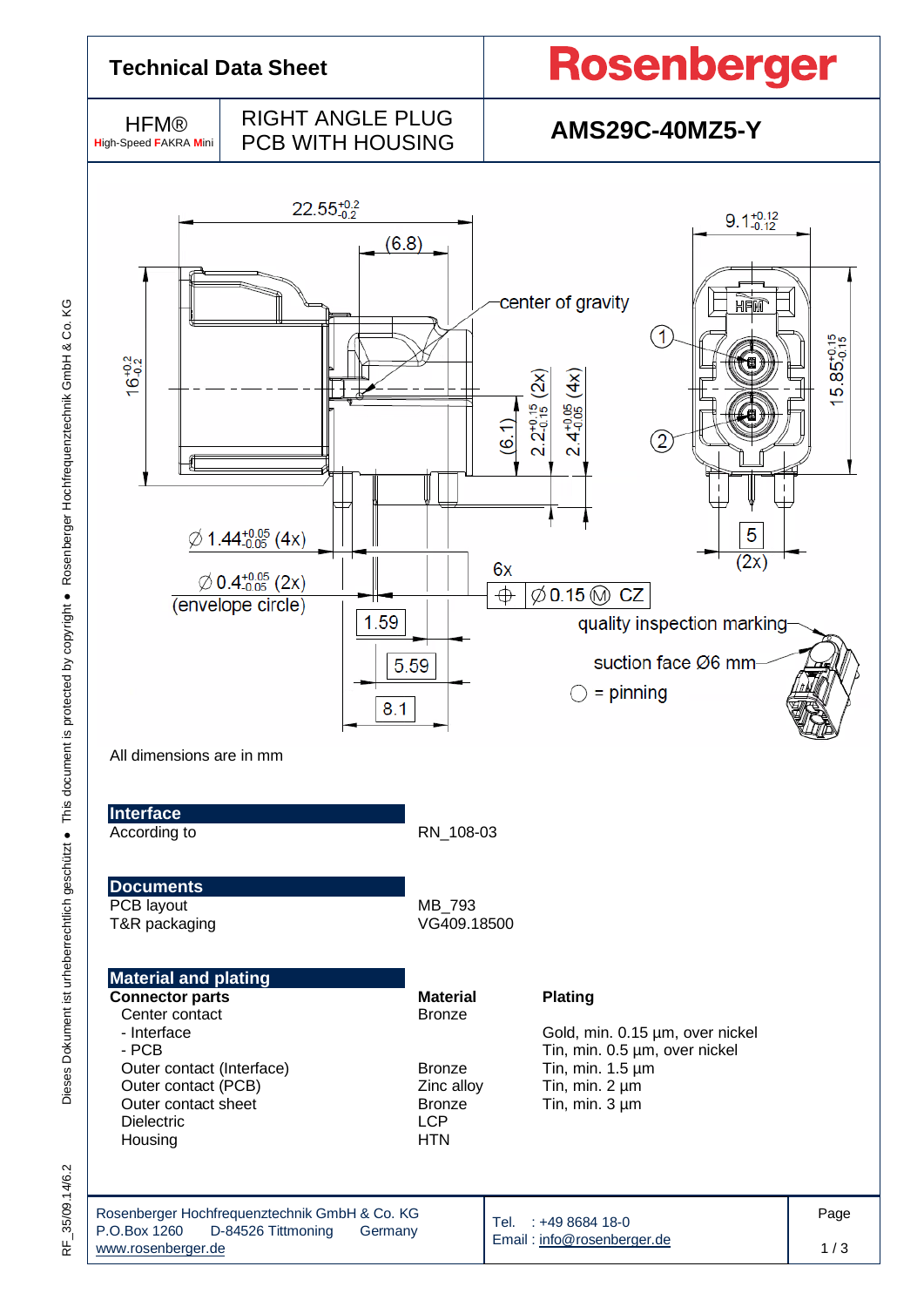

35/09.14/6.2 RF\_35/09.14/6.2  $\frac{1}{\alpha}$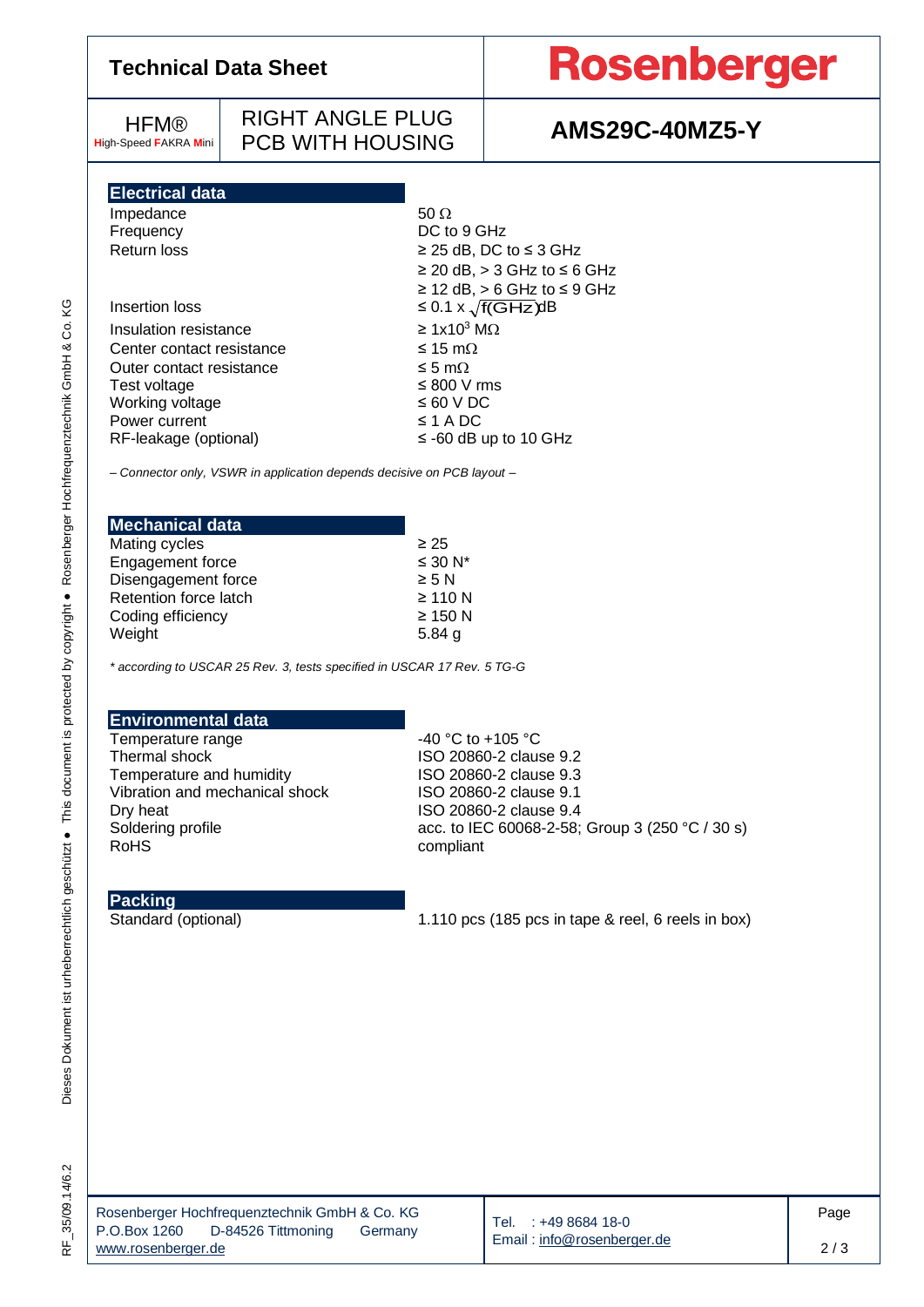| <b>Technical Data Sheet</b>                                                                                                                                                                                                                                                                                                       |                                                                         |                                                                                                                                                                                                                                                                                                                            | <b>Rosenberger</b>    |  |  |  |
|-----------------------------------------------------------------------------------------------------------------------------------------------------------------------------------------------------------------------------------------------------------------------------------------------------------------------------------|-------------------------------------------------------------------------|----------------------------------------------------------------------------------------------------------------------------------------------------------------------------------------------------------------------------------------------------------------------------------------------------------------------------|-----------------------|--|--|--|
| <b>HFM®</b><br><b>High-Speed FAKRA Mini</b>                                                                                                                                                                                                                                                                                       | <b>RIGHT ANGLE PLUG</b><br><b>PCB WITH HOUSING</b>                      |                                                                                                                                                                                                                                                                                                                            | <b>AMS29C-40MZ5-Y</b> |  |  |  |
| <b>Electrical data</b><br>Impedance<br>Frequency<br><b>Return loss</b><br>Insertion loss<br>Insulation resistance<br>Center contact resistance<br>Outer contact resistance<br>Test voltage<br>Working voltage<br>Power current<br>RF-leakage (optional)<br>- Connector only, VSWR in application depends decisive on PCB layout - |                                                                         | $50 \Omega$<br>DC to 9 GHz<br>$\geq$ 25 dB, DC to $\leq$ 3 GHz<br>$\geq$ 20 dB, $>$ 3 GHz to $\leq$ 6 GHz<br>$\geq$ 12 dB, $>$ 6 GHz to $\leq$ 9 GHz<br>≤ 0.1 x $\sqrt{f(GHz)}$ dB<br>$\geq 1x10^3$ M $\Omega$<br>≤ 15 m $Ω$<br>≤ 5 mΩ<br>$\leq 800$ V rms<br>$\leq 60$ V DC<br>$\leq$ 1 A DC<br>$\le$ -60 dB up to 10 GHz |                       |  |  |  |
| <b>Mechanical data</b><br>Mating cycles<br>Engagement force<br>Disengagement force<br>Retention force latch<br>Coding efficiency<br>Weight<br><b>Environmental data</b>                                                                                                                                                           | * according to USCAR 25 Rev. 3, tests specified in USCAR 17 Rev. 5 TG-G | $\geq 25$<br>$\leq 30 N^*$<br>$\geq 5$ N<br>$\geq$ 110 N<br>$\geq$ 150 N<br>$5.84$ g                                                                                                                                                                                                                                       |                       |  |  |  |

RF\_35/09.14/6.2 RF\_35/09.14/6.2 Temperature range  $\sim$  40 °C to +105 °C

RoHS<sup>compliant</sup>

Temperature and humidity

**Packing**

Thermal shock Thermal shock Thermal shock Temperature and humidity  $1\,$  ISO 20860-2 clause 9.3

Vibration and mechanical shock ISO 20860-2 clause 9.1<br>Dry heat ISO 20860-2 clause 9.4 Dry heat Dry heat ISO 20860-2 clause 9.4<br>Soldering profile Soldering acc. to IEC 60068-2-58;

Standard (optional) 1.110 pcs (185 pcs in tape & reel, 6 reels in box)

Tel. : +49 8684 18-0 Email [: info@rosenberger.de](mailto:info@rosenberger.de)

acc. to IEC 60068-2-58; Group 3 (250 °C / 30 s)